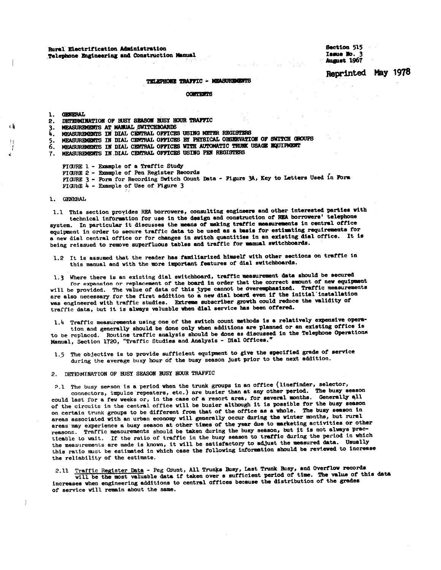Rural Electrification Administration Telephone Engineering and Construction Mamual Section 515 Issue No. 3 August 1967

May 1978 **Reprinted** 

#### TELEPHONE TRAFFIC - MEASUREMENTS

**CONTESTS** 

1. GENERAL

- 2. DETERMINATION OF BUSY SEASON BUSY HOUR TRAFFIC
- 3. MEASUREMENTS AT MANUAL SWITCHBOARDS
- MEASUREMENTS IN DIAL CENTRAL OFFICES USING METER REGISTERS h.
- MEASUREMENTS IN DIAL CENTRAL OFFICES BY PHYSICAL OBSERVATION OF SWITCH GROUPS 5.
- 6. MEASUREMENTS IN DIAL CENTRAL OFFICES WITH AUTOMATIC TRUNK USAGE EQUIPMENT
- 7. MEASUREMENTS IN DIAL CENTRAL OFFICES USING PEN REGISTERS

FIGURE 1 - Example of a Traffic Study

FIGURE 2 - Example of Pen Register Records FIGURE 3 - Form for Recording Switch Count Data - Figure 3A, Key to Letters Used in Form FIGURE 4 - Example of Use of Figure 3

1. GENERAL

1.1 This section provides REA borrowers, consulting engineers and other interested parties with technical information for use in the design and construction of REA borrowers' telephone system. In particular it discusses the means of making traffic measurements in central office equipment in order to secure traffic data to be used as a basis for estimating requirements for a new dial central office or for changes in switch quantities in an existing dial office. It is being reissued to remove superfluous tables and traffic for manual switchboards.

1.2 It is assumed that the reader has familiarized himself with other sections on traffic in this manual and with the more important features of dial switchboards.

1.3 Where there is an existing dial switchboard, traffic measurement data should be secured for expansion or replacement of the board in order that the correct amount of new equipment will be provided. The value of data of this type cannot be overemphasized. Traffic measurements are also necessary for the first addition to a new dial board even if the initial installation was engineered with traffic studies. Extreme subscriber growth could reduce the validity of traffic data, but it is always valuable when dial service has been offered.

1.4 Traffic measurements using one of the switch count methods is a relatively expensive operation and generally should be done only when additions are planned or an existing office is to be replaced. Routine traffic analysis should be done as discussed in the Telephone Operations Manual, Section 1720, "Traffic Studies and Analysis - Dial Offices."

1.5 The objective is to provide sufficient equipment to give the specified grade of service during the average busy hour of the busy season just prior to the next addition.

2. DETERMINATION OF BUSY SEASON BUSY HOUR TRAFFIC

2.1 The busy seeson is a period when the trunk groups in an office (linefinder, selector, connectors, impulse repeaters, etc.) are busier than at any other period. The busy season could last for a few weeks or, in the case of a resort area, for several months. Generally all of the circuits in the central office will be busier although it is possible for the busy season on certain trunk groups to be different from that of the office as a whole. The busy season in areas associated with an urban economy will generally occur during the winter months, but rural areas may experience a busy season at other times of the year due to marketing activities or other reasons. Traffic measurements should be taken during the busy season, but it is not always practicable to wait. If the ratio of traffic in the busy season to traffic during the period in which the measurements are made is known, it will be satisfactory to adjust the measured data. Usually this ratio must be estimated in which case the following information should be reviewed to increase the reliability of the estimate.

Traffic Register Data - Peg Count, All Trunks Busy, Last Trunk Busy, and Overflow records  $2.11$ will be the most valuable data if taken over a sufficient period of time. The value of this data increases when engineering additions to central offices because the distribution of the grades of service will remain about the same.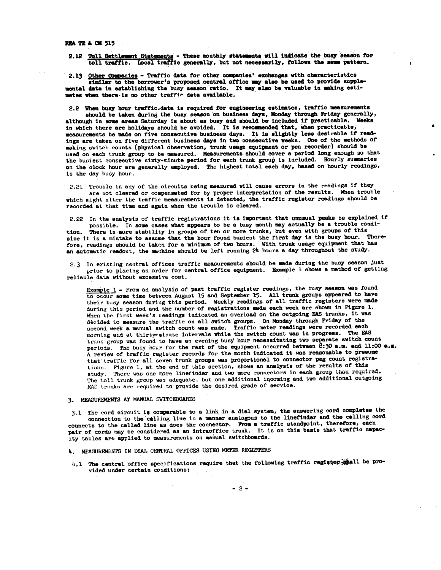**REA TE & CM 515** 

2.12 Toll Settlement Statements - These monthly statements will indicate the busy season for toll traffic. Local traffic generally, but not necessarily, follows the same pattern.

2.13 Other Companies - Traffic data for other companies' exchanges with characteristics

similar to the borrower's proposed central office may also be used to provide supplemental data in establishing the busy season ratio. It may also be valuable in making estimates when there is no other traffic data available.

2.2 When busy hour traffic.data is required for engineering estimates, traffic measurements should be taken during the busy season on business days, Monday through Friday generally, although in some areas Saturday is about as busy and should be included if practicable. Weeks in which there are holidays should be avoided. It is recommended that, when practicable, measurements be made on five consecutive business days. It is slightly less desirable if readings are taken on five different business days in two consecutive weeks. One of the methods of making switch counts (physical observation, trunk usage equipment or pen recorder) should be used on each trunk group to be measured. Measurements should cover a period long enough so that the busiest consecutive sixty-minute period for each trunk group is included. Hourly summaries on the clock hour are generally employed. The highest total each day, based on hourly readings, is the day busy hour.

2.21 Trouble in any of the circuits being measured will cause errors in the readings if they are not cleared or compensated for by proper interpretation of the results. When trouble which might alter the traffic measurements is detected, the traffic register readings should be recorded at that time and again when the trouble is cleared.

2.22 In the analysis of traffic registrations it is important that unusual peaks be explained if possible. In some cases what appears to be a busy month may actually be a trouble condi-

There is more stability in groups of ten or more trunks, but even with groups of this tion. size it is a mistake to assume that the hour found busiest the first day is the busy hour. Therefore, readings should be taken for a minimum of two hours. With trunk usage equipment that has an automatic readout, the machine should be left running 24 hours a day throughout the study.

2.3 In existing central offices traffic measurements should be made during the busy season just prior to placing an order for central office equipment. Example 1 shows a method of getting reliable data without excessive cost.

Example 1 - From an analysis of past traffic register readings, the busy season was found to occur some time between August 15 and September 15. All trunk groups appeared to have their basy season during this period. Weekly readings of all traffic registers were made during this period and the number of registrations made each week are shown in Figure 1. When the first week's readings indicated an overload on the outgoing EAS trunks, it was decided to measure the traffic on all switch groups. On Monday through Friday of the second week a manual switch count was made. Traffic meter readings were recorded each morning and at thirty-minute intervals while the switch count was in progress. The PAS trunk group was found to have an evening busy hour necessitating two separate switch count periods. The busy hour for the rest of the equipment occurred between 8:30 a.m. and 11:00 a.m. A review of traffic register records for the month indicated it was reasonable to presume that traffic for all seven trunk groups was proportional to connector peg count registrations. Figure 1, at the end of this section, shows an analysis of the results of this study. There was one more linefinder and two more connectors in each group than required. The toll trunk group was adequate, but one additional incoming and two additional outgoing FAS tranks are required to provide the desired grade of service.

#### 3. MEASUREMENTS AT MANUAL SWITCHBOARDS

3.1 The cord circuit is comparable to a link in a dial system, the answering cord completes the connection to the calling line in a manner analogous to the linefinder and the calling cord connects to the called line as does the connector. From a traffic standpoint, therefore, each pair of cords may be considered as an intraoffice trunk. It is on this basis that traffic capacity tables are applied to measurements on manual switchboards.

- 4. MEASUREMENTS IN DIAL CENTRAL OFFICES USING METER REGISTERS
- 4.1 The central office specifications require that the following traffic register shall be provided under certain conditions:

 $-2-$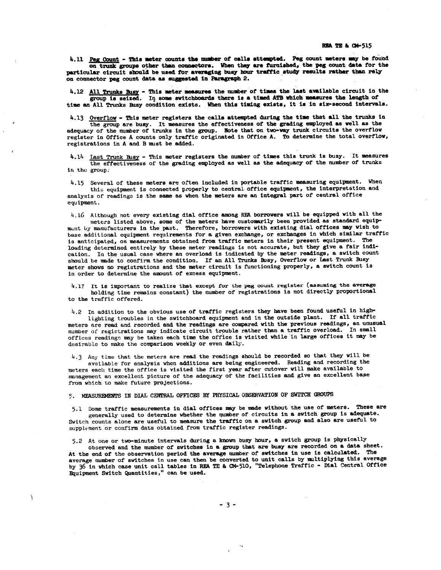4.11 Peg Count - This meter counts the mumber of calls attempted. Peg count meters may be found on trunk groups other than connectors. When they are furnished, the peg count data for the particular circuit should be used for averaging busy hour traffic study results rather than rely on connector peg count data as suggested in Paragraph 2.

4.12 All Trunks Busy - This meter measures the number of times the last available circuit in the group is seized. In some switchboards there is a timed ATB which measures the length of time an All Trunks Busy condition exists. When this timing exists, it is in six-second intervals.

4.13 Overflow - This meter registers the calls attempted during the time that all the trunks in

the group are busy. It measures the effectiveness of the grading employed as well as the adequacy of the number of trunks in the group. Note that on two-way trunk circuits the overflow<br>register in Office A counts only traffic originated in Office A. To determine the total overflow, registrations in A and B must be added.

4.14 Last Trunk Busy - This meter registers the number of times this trunk is busy. It measures the effectiveness of the grading employed as well as the adequacy of the number of trunks in the group.

4.15 Several of these meters are often included in portable traffic measuring equipment. When this equipment is connected properly to central office equipment, the interpretation and analysis of readings is the same as when the meters are an integral part of central office equipment.

4.16 Although not every existing dial office among REA borrowers will be equipped with all the meters listed above, some of the meters have customarily been provided as standard equipment by manufacturers in the past. Therefore, borrowers with existing dial offices may wish to base additional equipment requirements for a given exchange, or exchanges in which similar traffic is anticipated, on measurements obtained from traffic meters in their present equipment. The loading determined entirely by these meter readings is not accurate, but they give a fair indication. In the usual case where an overload is indicated by the meter readings, a switch count should be made to confirm the condition. If an All Trunks Busy, Overflow or Last Trunk Busy meter shows no registrations and the meter circuit is functioning properly, a switch count is in order to determine the amount of excess equipment.

4.17 It is important to realize that except for the peg count register (assuming the average holding time remains constant) the number of registrations is not directly proportional to the traffic offered.

4.2 In addition to the obvious use of traffic registers they have been found useful in highlighting troubles in the switchboard equipment and in the outside plant. If all traffic meters are read and recorded and the readings are compared with the previous readings, an unusual number of registrations may indicate circuit trouble rather than a traffic overload. In small offices readings may be taken each time the office is visited while in large offices it may be desirable to make the comparison weekly or even daily.

4.3 Any time that the meters are read the readings should be recorded so that they will be available for analysis when additions are being engineered. Reading and recording the meters each time the office is visited the first year after cutover will make available to management an excellent picture of the adequacy of the facilities and give an excellent base from which to make future projections.

5. MEASUREMENTS IN DIAL CENTRAL OFFICES BY PHYSICAL OBSERVATION OF SWITCH GROUPS

5.1 Some traffic measurements in dial offices may be made without the use of meters. These are generally used to determine whether the number of circuits in a switch group is adequate. Switch counts alone are useful to measure the traffic on a switch group and also are useful to supplement or confirm data obtained from traffic register readings.

5.2 At one or two-minute intervals during a known busy hour, a switch group is physically

observed and the number of switches in a group that are busy are recorded on a data sheet. At the end of the observation period the average number of switches in use is calculated. The average number of switches in use can then be converted to unit calls by multiplying this average by 36 in which case unit call tables in REA TE & CM-510, "Telephone Traffic - Dial Central Office Equipment Switch Quantities," can be used.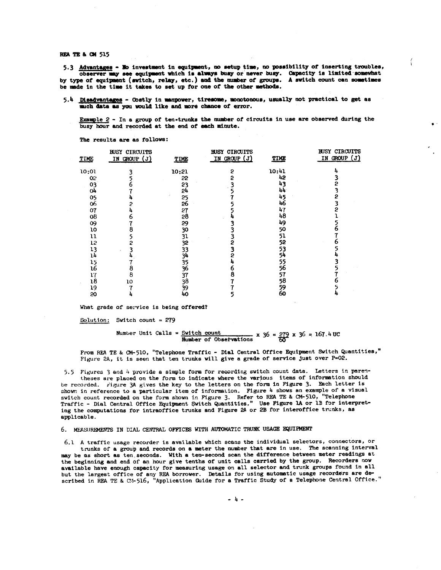**REA TE & CM 515** 

5.3 Advantages - No investment in equipment, no setup time, no possibility of inserting troubles, observer may see equipment which is always busy or never busy. Capacity is limited somewhat by type of equipment (switch, relay, etc.) and the number of groups. A switch count can sometimes be made in the time it takes to set up for one of the other methods.

5.4 Disadvantages - Costly in manpower, tiresome, monotonous, usually not practical to get as much data as you would like and more chance of error.

Example 2 - In a group of ten-trunks the number of circuits in use are observed during the busy hour and recorded at the end of each minute.

| TIME  | <b>BUSY CIRCUITS</b><br>IN GROUP (J) | TIME  | <b>BUSY CIRCUITS</b><br>IN GROUP (J) | TIME  | <b>BUSY CIRCUITS</b><br>IN GROUP (J) |
|-------|--------------------------------------|-------|--------------------------------------|-------|--------------------------------------|
| 10:01 |                                      | 10:21 | 2                                    | 10:41 |                                      |
| 02    |                                      | 55    |                                      | 42    |                                      |
| 03    |                                      | 23    |                                      | 43    |                                      |
| 04    |                                      | 54    |                                      | 44    |                                      |
| 05    |                                      | 25    |                                      | 45    |                                      |
| 06    |                                      | 26    |                                      | 46    |                                      |
| 07    |                                      | 27    |                                      | 47    |                                      |
| 08    | o                                    | 28    |                                      | 48    |                                      |
| 09    |                                      | 29    |                                      | 49    |                                      |
| 10    |                                      | 30    |                                      | 50    |                                      |
| 11    |                                      | 31    |                                      | 51    |                                      |
| 12    |                                      | 32    | 2                                    | 52    |                                      |
| 13    |                                      | 33    |                                      | 53    |                                      |
| 14    |                                      | 34    |                                      | 54    |                                      |
| 15    |                                      | 35    |                                      | 55    |                                      |
| 16    |                                      | 36    |                                      | 56    |                                      |
| 17    | 8                                    | 37    |                                      | 57    |                                      |
| 18    | 10                                   | 38    |                                      | 58    |                                      |
| 19    |                                      | 39    |                                      | 59    |                                      |
| 20    |                                      | 40    |                                      | 60    |                                      |

The results are as follows:

What grade of service is being offered?

Solution: Switch count =  $279$ 

### $\frac{x}{x}$  count count x 36 = 279 x 36 = 167.4 UC<br>Number of Observations Number Unit Calls = Switch count

From REA TE & CM-510, "Telephone Traffic - Dial Central Office Equipment Switch Quantities," Figure 2A, it is seen that ten trunks will give a grade of service just over P=02.

5.5 Figures 3 and 4 provide a simple form for recording switch count data. Letters in parentheses are placed on the form to indicate where the various items of information should be recorded. Figure 3A gives the key to the letters on the form in Figure 3. Each letter is shown in reference to a particular item of information. Figure 4 shows an example of a visual switch count recorded on the form shown in Figure 3. Refer to REA TE & CM-510, "Telephone Traffic - Dial Central Office Equipment Switch Quantities." Use Figure 1A or 1B for interpreting the computations for intraoffice trunks and Figure 2A or 2B for interoffice trunks, as applicable.

#### 6. MEASUREMENTS IN DIAL CENTRAL OFFICES WITH AUTOMATIC TRUNK USAGE EQUIPMENT

6.1 A traffic usage recorder is available which scans the individual selectors, connectors, or trunks of a group and records on a meter the number that are in use. The scanning interval may be as short as ten seconds. With a ten-second scan the difference between meter readings at the beginning and end of an hour give tenths of unit calls carried by the group. Recorders now available have enough capacity for measuring usage on all selector and trunk groups found in all<br>but the largest office of any REA borrower. Details for using automatic usage recorders are de-<br>scribed in REA TE & C:1-516,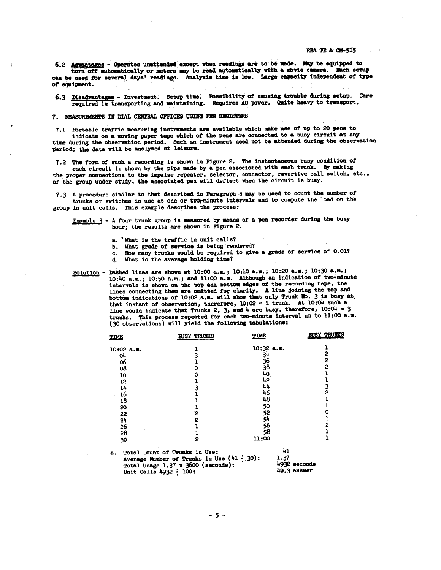6.2 Advantages - Operates unattended except when readings are to be made. May be equipped to turn off automatically or meters may be read automatically with a movie camera. Bach setup can be used for several days' readings. Analysis time is low. Large capacity independent of type of equipment.

6.3 Disadvantages - Investment. Setup time. Possibility of causing trouble during setup. Care required in transporting and maintaining. Requires AC power. Quite heavy to transport.

7. MEASUREMENTS IN DIAL CENTRAL OFFICES USING PEN REGISTERS

7.1 Portable traffic measuring instruments are available which make use of up to 20 pens to indicate on a moving paper tape which of the pens are connected to a busy circuit at any time during the observation period. Such an instrument need not be attended during the observation period; the data will be analyzed at leisure.

7.2 The form of such a recording is shown in Figure 2. The instantaneous busy condition of each circuit is shown by the pips made by a pen associated with each trunk. By making the proper connections to the impulse repeater, selector, connector, revertive call switch, etc., of the group under study, the associated pen will deflect when the circuit is busy.

7.3 A procedure similar to that described in Paragraph 5 may be used to count the number of trunks or switches in use at one or two-minute intervals and to compute the load on the group in unit calls. This example describes the process:

Example 3 - A four trunk group is measured by means of a pen recorder during the busy hour; the results are shown in Figure 2.

- a. What is the traffic in unit calls?
- b. What grade of service is being rendered?
- c. How many trunks would be required to give a grade of service of 0.01?
- d. What is the average holding time?

Solution - Dashed lines are shown at 10:00 a.m.; 10:10 a.m.; 10:20 a.m.; 10:30 a.m.; 10:40 a.m.; 10:50 a.m.; and 11:00 a.m. Although an indication of two-minute intervals is shown on the top and bottom edges of the recording tape, the lines connecting them are omitted for clarity. A line joining the top and bottom indications of 10:02 a.m. will show that only Trunk No. 3 is busy at that instant of observation, therefore,  $10:02 = 1$  trunk. At  $10:04$  such a line would indicate that Trunks 2, 3, and 4 are busy, therefore,  $10:04 = 3$ trunks. This process repeated for each two-minute interval up to 11:00 a.m. (30 observations) will yield the following tabulations:

| <b>TIME</b>                  | <b>BUSY TRUNKS</b>                                                                                                             | TIME         | <b>BUSY TRUNKS</b>          |
|------------------------------|--------------------------------------------------------------------------------------------------------------------------------|--------------|-----------------------------|
| $10:02$ a.m.                 |                                                                                                                                | $10:32$ a.m. |                             |
| O4                           |                                                                                                                                | 34           | 2                           |
| 06                           |                                                                                                                                | 36           | 2                           |
| 08                           | Ο                                                                                                                              | 38           | 2                           |
| 10                           | Ο                                                                                                                              | 40           |                             |
| 12                           |                                                                                                                                | 42           |                             |
| 14                           |                                                                                                                                | 44           | 3                           |
| 16                           |                                                                                                                                | 46           | 2                           |
| 18                           |                                                                                                                                | 48           |                             |
| 20                           |                                                                                                                                | 50           |                             |
| 22                           | 2                                                                                                                              | 52           |                             |
| 5ŗ                           | 2                                                                                                                              |              |                             |
| 26                           |                                                                                                                                | 54<br>56     | 2                           |
| 58                           |                                                                                                                                | 58           |                             |
| 30                           | 2                                                                                                                              | 11:00        |                             |
| а.<br>Unit Calls 4932 - 100: | Total Count of Trunks in Use:<br>Average Number of Trunks in Use $(41 \div 30)$ :<br>Total Usage $1.37 \times 3600$ (seconds): | 41<br>1.37   | 4932 seconds<br>49.3 answer |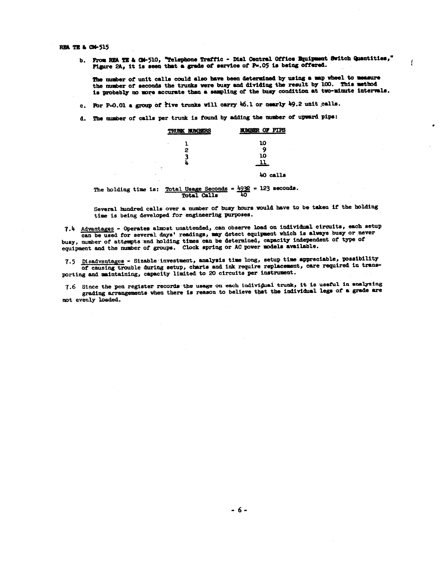REA TE & CM-515

The

b. From REA TE & CM-510, "Telephone Traffic - Dial Central Office Equipment Switch Quantities," Figure 2A, it is seen that a grade of service of P=.05 is being offered.

The number of unit calls could also have been determined by using a map wheel to measure the number of seconds the trunks were busy and dividing the result by 100. This method is probably no more accurate than a sampling of the busy condition at two-minute intervals.

- c. For P=0.01 a group of five trunks will carry 46.1 or nearly 49.2 unit calls.
- d. The number of calls per trunk is found by adding the number of upward pips:

|                             |   | TRUNK NUMBERS | <b>NUMBER OF PIPS</b>                                                        |
|-----------------------------|---|---------------|------------------------------------------------------------------------------|
|                             |   |               | 10                                                                           |
| $\mathcal{L}_{\mathcal{C}}$ |   | 2             | 10                                                                           |
|                             | ÷ |               | 40 calls                                                                     |
|                             |   | Total Calls   | holding time is: Total Usage Seconds = $\frac{1932}{7}$ = 123 seconds.<br>4Ο |

Several hundred calls over a mumber of busy hours would have to be taken if the holding time is being developed for engineering purposes.

7.4 Advantages - Operates almost unattended, can observe load on individual circuits, each setup can be used for several days' readings, may detect equipment which is always busy or never busy, number of attempts and holding times can be determined, capacity independent of type of equipment and the number of groups. Clock spring or AC power models available.

7.5 Disadvantages - Sizable investment, analysis time long, setup time appreciable, possibility of causing trouble during setup, charts and ink require replacement, care required in transporting and maintaining, capacity limited to 20 circuits per instrument.

7.6 Since the pen register records the usage on each individual trunk, it is useful in analyzing grading arrangements when there is reason to believe that the individual legs of a grade are not evenly loaded.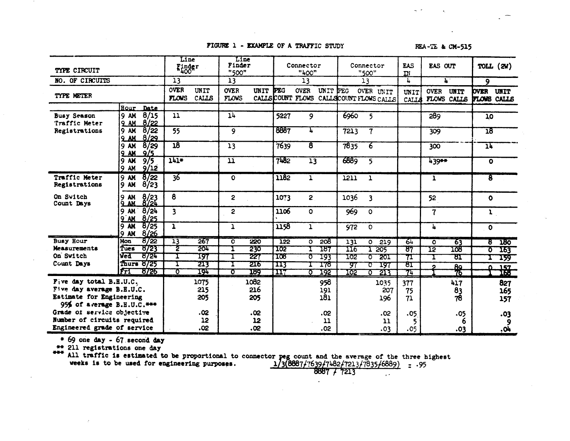#### FIGURE 1 - EXAMPLE OF A TRAFFIC STUDY

REA-TE & CM-515

| TYPE CIRCUIT                        |                                                            | Line<br>Finder              |                      | Line<br>Finder<br>"500"     |            |            | Connector<br>"400"          |            |                           | Connector<br>"500"                                     | <b>EAS</b><br>$\mathbf{m}$ | EAS OUT        |                     | TOLL $(2V)$                       |                   |
|-------------------------------------|------------------------------------------------------------|-----------------------------|----------------------|-----------------------------|------------|------------|-----------------------------|------------|---------------------------|--------------------------------------------------------|----------------------------|----------------|---------------------|-----------------------------------|-------------------|
| NO. OF CIRCUITS                     | 13                                                         |                             | 13                   |                             | 13         |            | 13                          |            | 4                         | $\mathbf{L}$                                           |                            | $\overline{9}$ |                     |                                   |                   |
| TYPE METER                          |                                                            | <b>OVER</b><br><b>FLOWS</b> | UNIT<br><b>CALLS</b> | <b>OVER</b><br><b>FLOWS</b> | UNIT       | <b>PEG</b> | <b>OVER</b>                 | UNIT PEG   |                           | OVER UNIT<br>CALLS COUNT FLOWS CALLS COUNT FLOWS CALLS | UNIT<br>CALLS              | <b>OVER</b>    | UNIT<br>FLOWS CALLS | <b>OVER</b><br><b>FLOWS CALLS</b> | UNIT              |
|                                     | <b>Eour</b><br>Date                                        |                             |                      |                             |            |            |                             |            |                           |                                                        |                            |                |                     |                                   |                   |
| <b>Busy Season</b><br>Traffic Meter | 8/15<br><b>9 AM</b><br><b>9 AM</b><br>8/22                 | 11                          |                      | 1 <sup>h</sup>              |            | 5227       | 9                           |            | 6960                      | 5                                                      |                            | 289            |                     | 10                                |                   |
| Registrations                       | 8/22<br><b>9 AM</b><br>8/29<br>9 AM                        | $\overline{55}$             |                      | 9                           |            | 8887       | 4                           |            | 7213                      | $\overline{\tau}$                                      |                            | 309            |                     | 18                                |                   |
|                                     | 8/29<br><b>9 AM</b><br>9/5<br><b>9 AM</b>                  | $\overline{18}$             |                      | 13                          |            | 7639       | $\overline{\boldsymbol{8}}$ |            | 7835                      | 6                                                      |                            | 300            |                     | $\overline{\mathbf{1}}$           |                   |
|                                     | $\overline{9/5}$<br><b>AK</b><br>9.<br><b>9 AM</b><br>9/12 | $141*$                      |                      | $\overline{\mathbf{u}}$     |            | 7482       | $\overline{13}$             |            | 6889                      | 5                                                      |                            | 439**          |                     | $\mathbf o$                       |                   |
| Traffic Meter<br>Registrations      | 8/22<br><b>9 AM</b><br><b>AM</b><br>8/23<br>9.             | $\overline{36}$             |                      | $\Omega$                    |            | 1182       | ı                           |            | 1211                      | ı                                                      |                            | ı              |                     | T                                 |                   |
| On Switch<br>Count Days             | $\frac{8}{24}$<br>9 AM<br>Q AM                             | 8                           |                      | 2                           |            | 1073       | 2                           |            | 1036                      | 3                                                      |                            | 52             |                     | $\bullet$                         |                   |
|                                     | 8/24<br><b>9 AM</b><br>8/25<br>$9$ AM                      | $\overline{\mathbf{3}}$     |                      | 2                           |            | 1106       | $\Omega$                    |            | 969                       | $\Omega$                                               |                            | $\overline{7}$ |                     | ı                                 |                   |
|                                     | 8/25<br>9M<br>8/26<br><b>9 AM</b>                          | $\mathbf{I}$                |                      | 1                           |            | 1158       | ı                           |            | 972                       | $\circ$                                                |                            | 4              |                     | $\bullet$                         |                   |
| <b>Busy Hour</b>                    | 8/22<br>Mon                                                | $\overline{13}$             | 267                  | O                           | 220        | <b>122</b> | O.                          | 508        | $\overline{131}$          | 219<br>O.                                              | 64                         | O              | 63                  | g                                 | 180               |
| Measurements                        | 8723<br>Tues                                               | 2                           | 501                  |                             | 230        | 102        |                             | 187        | $\overline{\mathtt{116}}$ | 205                                                    | ष्ठ7                       | 12             | 108                 | Ō                                 | 163               |
| On Switch<br>Count Days             | ved<br>ष्ठ72प<br>8725<br>Thurs                             |                             | 197                  |                             | 227        | 108        | Ω                           | 193        | 102                       | 201<br>σ                                               | 71                         |                | ष्ठा                |                                   | 159               |
|                                     | IFI<br>8726                                                | ত                           | 213<br>194           | σ                           | 216<br>189 | 113<br>117 | Ω                           | 178<br>192 | प्रा<br>102               | 197<br>ठ<br>213<br>᠊ᢐ                                  | ष्ठा<br>74                 |                | 89<br>76            | n.                                | $\frac{157}{166}$ |
| Five day total B.H.U.C.             |                                                            |                             | 1075                 |                             | 1082       |            |                             | 958        |                           | 1035                                                   | 377                        |                | 417                 |                                   | 827               |
| Five day average B.H.U.C.           |                                                            |                             | 215                  |                             | 216        |            |                             | 191        |                           | 207                                                    | 75                         |                | 83                  |                                   | 165               |
| Estimate for Engineering            |                                                            |                             | 205                  |                             | 205        |            |                             | 181        |                           | 196                                                    | 71                         |                | 78                  |                                   | 157               |
| 95% of average $B.H.U.C.***$        |                                                            |                             |                      |                             |            |            |                             |            |                           |                                                        |                            |                |                     |                                   |                   |
| Grade of service objective          |                                                            |                             | .02                  |                             | .02        |            |                             | .02        |                           | .02                                                    | .05                        |                | .05                 |                                   | .03               |
| Number of circuits required         |                                                            |                             | 12                   |                             | 12         |            |                             | 11         |                           | 11                                                     |                            |                | 6                   |                                   | 9                 |
| Engineered grade of service         |                                                            | .02                         |                      | .02                         |            |            | .02                         |            | .03                       | .05                                                    |                            | .03            |                     | 40.                               |                   |

\* 69 one day<br>
\*\* 211 registrations one day<br>
\*\* 211 registrations one day<br>
\*\* 211 registrations one day<br>
\*\* 211 registrations one day<br>
\*\* 211 registrations one day<br>
All traffic is estimated to be proportional to connector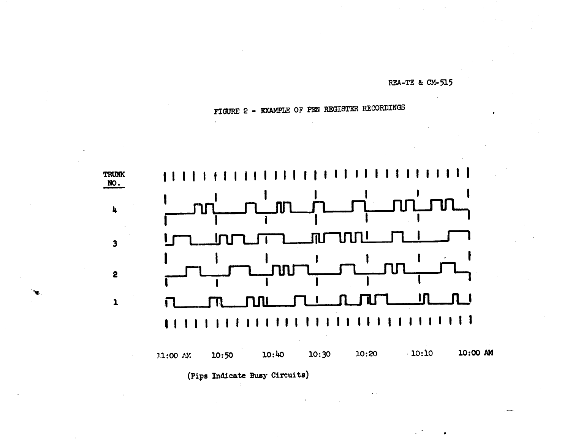REA-TE & CM-515

# FIGURE 2 - EXAMPLE OF PEN REGISTER RECORDINGS

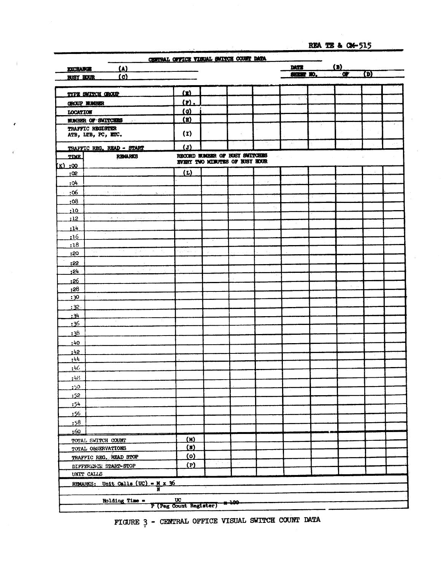REA TE & CM-515

|                                                    | CENTRAL OFFICE VISUAL SWITCH COUNT DATA |                                                                  |      |               |                          |                 |     |  |
|----------------------------------------------------|-----------------------------------------|------------------------------------------------------------------|------|---------------|--------------------------|-----------------|-----|--|
| $(\Lambda)$<br><b>EXCHANGE</b>                     |                                         |                                                                  |      |               | DATE<br><b>SHEET NO.</b> | (D)<br>$\alpha$ | (D) |  |
| (c)<br><b>BUBY HOUR</b>                            |                                         |                                                                  |      |               |                          |                 |     |  |
|                                                    |                                         |                                                                  |      |               |                          |                 |     |  |
| <b>TYPE SWITCH GROUP</b>                           | (2)                                     |                                                                  |      |               | ÷                        |                 |     |  |
| GROUP MUNISIER                                     | (1)                                     |                                                                  |      |               |                          |                 |     |  |
| <b>LOCATION</b>                                    | (a)                                     |                                                                  |      |               |                          |                 |     |  |
| <b>NUMBER-OF SWITCHES</b><br>$\sigma^{-1}$         | $(\mathbf{u})$                          |                                                                  |      |               |                          |                 |     |  |
| TRAFFIC REGISTER<br>ATB, LTB, PC, ETC.             | (I)                                     |                                                                  |      |               |                          |                 |     |  |
|                                                    |                                         |                                                                  |      |               | $\alpha_{\rm c}$         |                 |     |  |
| TRAFFIC REG. READ - START                          | $\overline{J}$                          |                                                                  |      |               |                          |                 |     |  |
| <b>REMARKS</b><br><b>TIME</b>                      |                                         | RECORD NUMBER OF BUSY SWITCHES<br>EVERY TWO MINUTES OF BUSY HOUR |      |               |                          |                 |     |  |
| <u>(k) :00</u>                                     |                                         |                                                                  |      |               |                          |                 |     |  |
| :02                                                | (L)                                     |                                                                  |      |               |                          |                 |     |  |
| : 04                                               |                                         | o A                                                              |      | $\sim$ $\sim$ |                          |                 |     |  |
| : 06<br>120.00                                     |                                         |                                                                  |      |               |                          |                 |     |  |
| : 08                                               |                                         |                                                                  |      |               |                          |                 |     |  |
| :10                                                |                                         |                                                                  |      |               |                          |                 |     |  |
| :12<br>a.                                          |                                         |                                                                  |      |               |                          |                 |     |  |
| $-14$                                              |                                         |                                                                  |      |               |                          |                 |     |  |
| : 16                                               |                                         |                                                                  |      |               |                          |                 |     |  |
| :18<br>ta.                                         | and the sea                             |                                                                  |      |               |                          |                 |     |  |
| :20                                                |                                         |                                                                  |      |               |                          |                 |     |  |
| : 22<br>16 L. P                                    |                                         |                                                                  |      |               |                          |                 |     |  |
| 24                                                 |                                         |                                                                  |      |               |                          |                 |     |  |
| :26                                                |                                         |                                                                  |      |               |                          |                 |     |  |
| :28                                                |                                         |                                                                  |      |               |                          |                 |     |  |
| :30                                                |                                         |                                                                  |      |               |                          |                 |     |  |
| :32.                                               |                                         |                                                                  |      |               |                          |                 |     |  |
| : 34                                               |                                         |                                                                  |      |               |                          |                 |     |  |
| : 36                                               |                                         |                                                                  |      |               |                          |                 |     |  |
| :38                                                |                                         |                                                                  |      |               |                          |                 |     |  |
| :40                                                |                                         |                                                                  |      |               |                          |                 |     |  |
| :42                                                |                                         |                                                                  |      |               |                          |                 |     |  |
| :44                                                |                                         |                                                                  |      |               |                          |                 |     |  |
| :46                                                |                                         |                                                                  |      |               |                          |                 |     |  |
| :48                                                |                                         |                                                                  |      |               |                          |                 |     |  |
| $20 -$                                             |                                         |                                                                  |      |               |                          |                 |     |  |
| : 52                                               |                                         |                                                                  |      |               |                          |                 |     |  |
| :54                                                |                                         |                                                                  |      |               |                          |                 |     |  |
| :56                                                |                                         |                                                                  |      |               |                          |                 |     |  |
| :58                                                |                                         |                                                                  |      |               |                          |                 |     |  |
| :60                                                |                                         |                                                                  |      |               |                          |                 |     |  |
| TOTAL SWITCH COUNT                                 | (M)<br>(M)                              |                                                                  |      |               |                          |                 |     |  |
| TOTAL OBSERVATIONS                                 | (0)                                     |                                                                  |      |               |                          |                 |     |  |
| TRAFFIC REG. READ STOP                             |                                         | $\sqrt{2}$                                                       |      |               |                          |                 |     |  |
| DIFFERENCE START-STOP<br>UNIT CALLS                | (P)                                     |                                                                  |      |               |                          |                 |     |  |
|                                                    |                                         |                                                                  |      |               |                          |                 |     |  |
| REMARKS: Unit Calls (UC) = $\frac{M}{N} \times 36$ |                                         |                                                                  |      |               |                          |                 |     |  |
| Holding Time =                                     | UC<br>P (Peg Count Register)            |                                                                  | 4400 |               |                          |                 |     |  |

FIGURE 3 - CENTRAL OFFICE VISUAL SWITCH COUNT DATA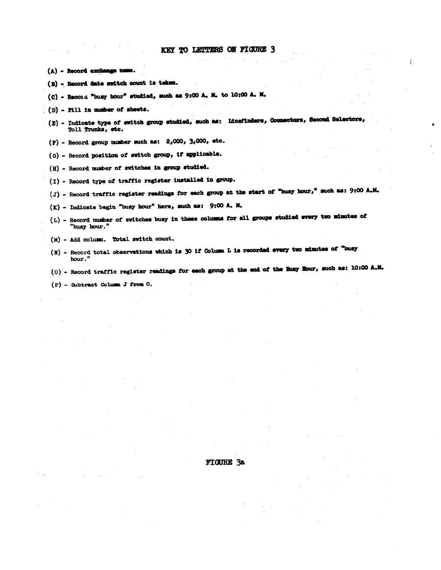- (A) Record exchange name.
- (B) Record date switch count is taken.
- (C) Record "busy hour" studied, such as 9:00 A. M. to 10:00 A. M.
- (D) Fill in mumber of sheets.
- (E) Indicate type of switch group studied, such as: Linefinders, Connectors, Second Selectors, Toll Trunks, etc.
- $(F)$  Record group number such as: 2,000, 3,000, etc.
- (G) Record position of switch group, if applicable.
- (H) Record number of switches in group studied.
- (I) Record type of traffic register installed in group.
- (J) Record traffic register readings for each group at the start of "busy hour," such as: 9:00 A.M.
- (K) Indicate begin "busy hour" here, such as: 9:00 A. M.
- (L) Record number of switches busy in these columns for all groups studied every two minutes of "busy hour."
- (M) Add column. Total switch count.
- (N) Record total observations which is 30 if Column L is recorded every two minutes of "busy hour.
- (0) Record traffic register readings for each group at the end of the Busy Hour, such as: 10:00 A.M.
- (P) Subtract Column J from O.

#### **FIGURE 3a**